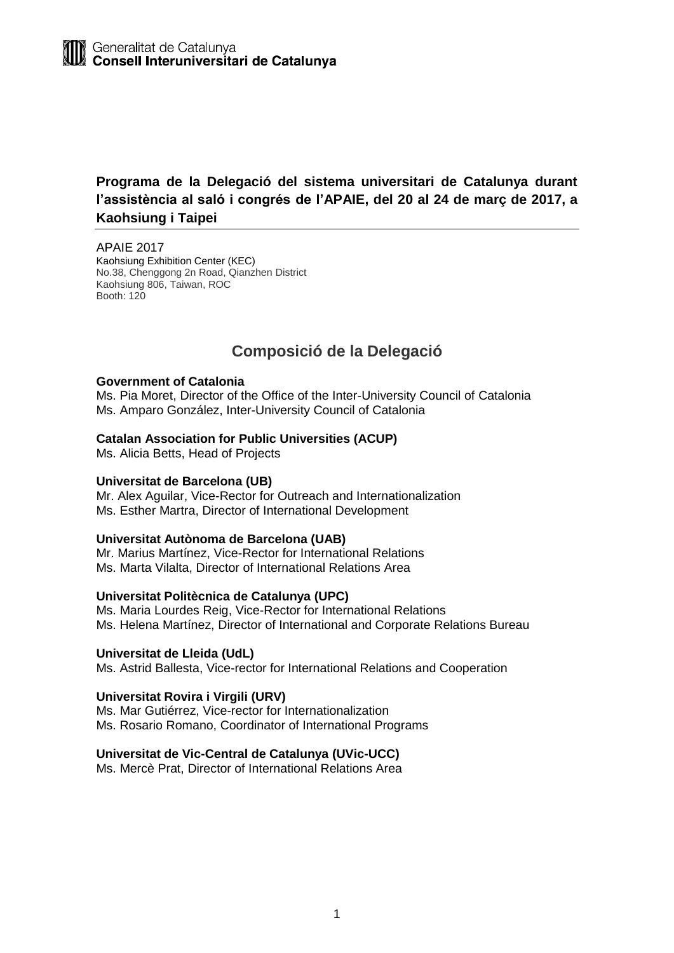# **Programa de la Delegació del sistema universitari de Catalunya durant l'assistència al saló i congrés de l'APAIE, del 20 al 24 de març de 2017, a Kaohsiung i Taipei**

APAIE 2017 Kaohsiung Exhibition Center (KEC) No.38, Chenggong 2n Road, Qianzhen District Kaohsiung 806, Taiwan, ROC Booth: 120

# **Composició de la Delegació**

### **Government of Catalonia**

Ms. Pia Moret, Director of the Office of the Inter-University Council of Catalonia Ms. Amparo González, Inter-University Council of Catalonia

### **Catalan Association for Public Universities (ACUP)**

Ms. Alicia Betts, Head of Projects

### **Universitat de Barcelona (UB)**

Mr. Alex Aguilar, Vice-Rector for Outreach and Internationalization Ms. Esther Martra, Director of International Development

### **Universitat Autònoma de Barcelona (UAB)**

Mr. Marius Martínez, Vice-Rector for International Relations Ms. Marta Vilalta, Director of International Relations Area

### **Universitat Politècnica de Catalunya (UPC)**

Ms. Maria Lourdes Reig, Vice-Rector for International Relations Ms. Helena Martínez, Director of International and Corporate Relations Bureau

### **Universitat de Lleida (UdL)**

Ms. Astrid Ballesta, Vice-rector for International Relations and Cooperation

### **Universitat Rovira i Virgili (URV)**

Ms. Mar Gutiérrez, Vice-rector for Internationalization Ms. Rosario Romano, Coordinator of International Programs

### **Universitat de Vic-Central de Catalunya (UVic-UCC)**

Ms. Mercè Prat, Director of International Relations Area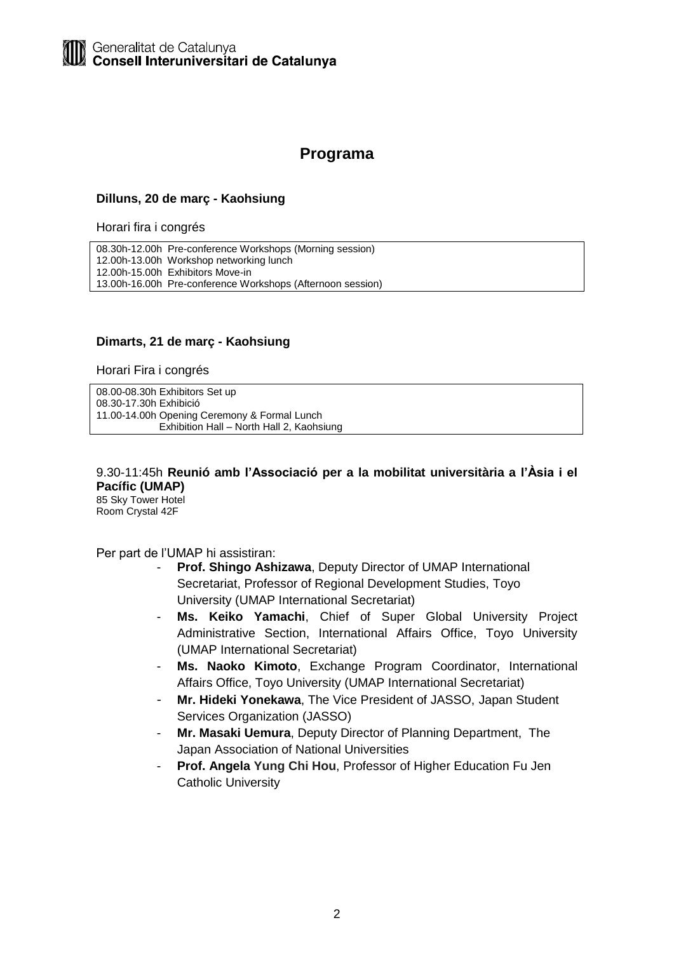# **Programa**

### **Dilluns, 20 de març - Kaohsiung**

Horari fira i congrés

08.30h-12.00h Pre-conference Workshops (Morning session) 12.00h-13.00h Workshop networking lunch 12.00h-15.00h Exhibitors Move-in 13.00h-16.00h Pre-conference Workshops (Afternoon session)

### **Dimarts, 21 de març - Kaohsiung**

Horari Fira i congrés

08.00-08.30h Exhibitors Set up 08.30-17.30h Exhibició 11.00-14.00h Opening Ceremony & Formal Lunch Exhibition Hall – North Hall 2, Kaohsiung

# 9.30-11:45h **Reunió amb l'Associació per a la mobilitat universitària a l'Àsia i el Pacífic (UMAP)**

85 Sky Tower Hotel Room Crystal 42F

Per part de l'UMAP hi assistiran:

- **Prof. Shingo Ashizawa**, Deputy Director of UMAP International Secretariat, Professor of Regional Development Studies, Toyo University (UMAP International Secretariat)
- **Ms. Keiko Yamachi**, Chief of Super Global University Project Administrative Section, International Affairs Office, Toyo University (UMAP International Secretariat)
- **Ms. Naoko Kimoto**, Exchange Program Coordinator, International Affairs Office, Toyo University (UMAP International Secretariat)
- **Mr. Hideki Yonekawa**, The Vice President of JASSO, Japan Student Services Organization (JASSO)
- **Mr. Masaki Uemura**, Deputy Director of Planning Department, The Japan Association of National Universities
- **Prof. Angela Yung Chi Hou**, Professor of Higher Education Fu Jen Catholic University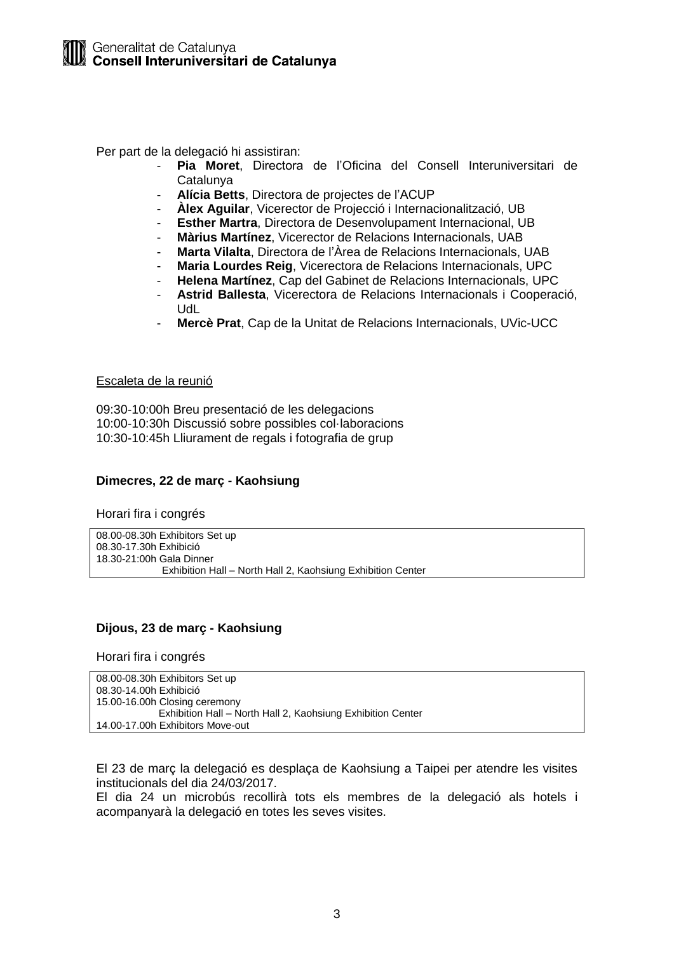Per part de la delegació hi assistiran:

- Pia Moret, Directora de l'Oficina del Consell Interuniversitari de **Catalunya**
- **Alícia Betts**, Directora de projectes de l'ACUP
- **Àlex Aguilar**, Vicerector de Projecció i Internacionalització, UB
- **Esther Martra**, Directora de Desenvolupament Internacional, UB
- **Màrius Martínez**, Vicerector de Relacions Internacionals, UAB
- **Marta Vilalta**, Directora de l'Àrea de Relacions Internacionals, UAB
- Maria Lourdes Reig, Vicerectora de Relacions Internacionals, UPC
- **Helena Martínez**, Cap del Gabinet de Relacions Internacionals, UPC
- **Astrid Ballesta**, Vicerectora de Relacions Internacionals i Cooperació, UdL
- **Mercè Prat**, Cap de la Unitat de Relacions Internacionals, UVic-UCC

#### Escaleta de la reunió

09:30-10:00h Breu presentació de les delegacions 10:00-10:30h Discussió sobre possibles col·laboracions 10:30-10:45h Lliurament de regals i fotografia de grup

### **Dimecres, 22 de març - Kaohsiung**

Horari fira i congrés

08.00-08.30h Exhibitors Set up 08.30-17.30h Exhibició 18.30-21:00h Gala Dinner Exhibition Hall – North Hall 2, Kaohsiung Exhibition Center

## **Dijous, 23 de març - Kaohsiung**

Horari fira i congrés

08.00-08.30h Exhibitors Set up 08.30-14.00h Exhibició 15.00-16.00h Closing ceremony Exhibition Hall – North Hall 2, Kaohsiung Exhibition Center 14.00-17.00h Exhibitors Move-out

El 23 de març la delegació es desplaça de Kaohsiung a Taipei per atendre les visites institucionals del dia 24/03/2017.

El dia 24 un microbús recollirà tots els membres de la delegació als hotels i acompanyarà la delegació en totes les seves visites.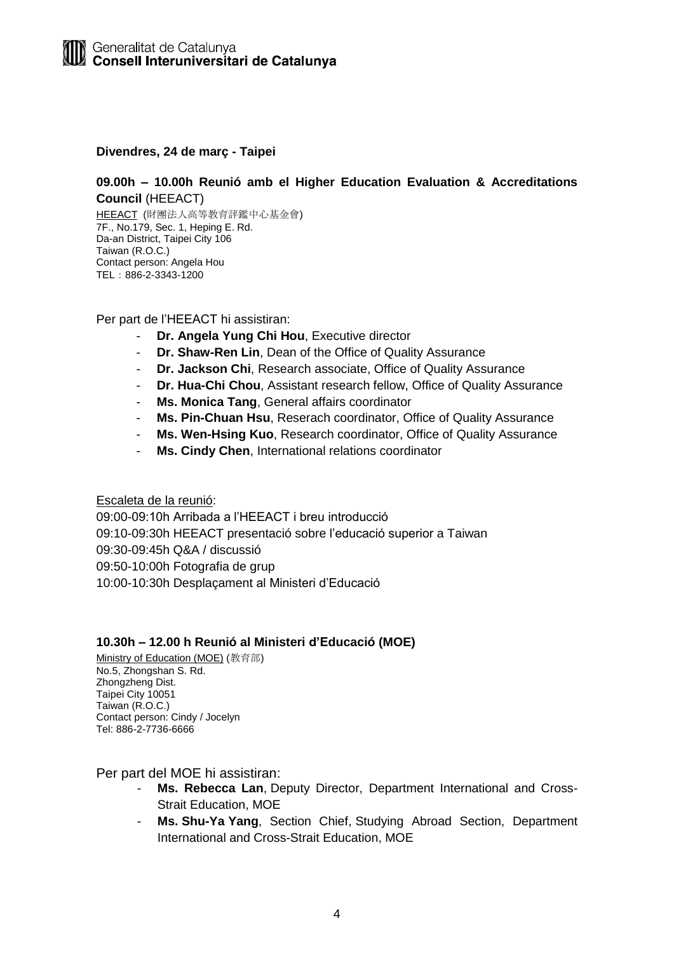### **Divendres, 24 de març - Taipei**

# **09.00h – 10.00h Reunió amb el Higher Education Evaluation & Accreditations Council** (HEEACT)

HEEACT (財團法人高等教育評鑑中心基金會) 7F., No.179, Sec. 1, Heping E. Rd. Da-an District, Taipei City 106 Taiwan (R.O.C.) Contact person: Angela Hou TEL:886-2-3343-1200

Per part de l'HEEACT hi assistiran:

- **Dr. Angela Yung Chi Hou**, Executive director
- **Dr. Shaw-Ren Lin**, Dean of the Office of Quality Assurance
- **Dr. Jackson Chi**, Research associate, Office of Quality Assurance
- **Dr. Hua-Chi Chou**, Assistant research fellow, Office of Quality Assurance
- **Ms. Monica Tang**, General affairs coordinator
- **Ms. Pin-Chuan Hsu**, Reserach coordinator, Office of Quality Assurance
- **Ms. Wen-Hsing Kuo**, Research coordinator, Office of Quality Assurance
- **Ms. Cindy Chen**, International relations coordinator

Escaleta de la reunió:

09:00-09:10h Arribada a l'HEEACT i breu introducció 09:10-09:30h HEEACT presentació sobre l'educació superior a Taiwan 09:30-09:45h Q&A / discussió 09:50-10:00h Fotografia de grup 10:00-10:30h Desplaçament al Ministeri d'Educació

## **10.30h – 12.00 h Reunió al Ministeri d'Educació (MOE)**

Ministry of Education (MOE) (教育部) No.5, Zhongshan S. Rd. Zhongzheng Dist. Taipei City 10051 Taiwan (R.O.C.) Contact person: Cindy / Jocelyn Tel: 886-2-7736-6666

Per part del MOE hi assistiran:

- **Ms. Rebecca Lan**, Deputy Director, Department International and Cross-Strait Education, MOE
- **Ms. Shu-Ya Yang**, Section Chief, Studying Abroad Section, Department International and Cross-Strait Education, MOE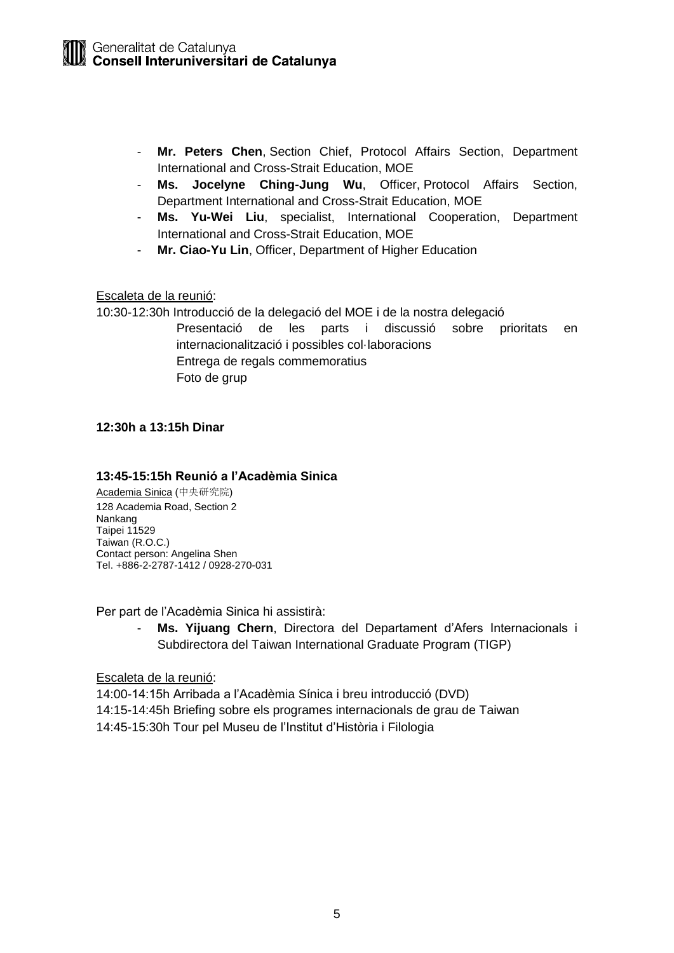- **Mr. Peters Chen**, Section Chief, Protocol Affairs Section, Department International and Cross-Strait Education, MOE
- **Ms. Jocelyne Ching-Jung Wu**, Officer, Protocol Affairs Section, Department International and Cross-Strait Education, MOE
- **Ms. Yu-Wei Liu**, specialist, International Cooperation, Department International and Cross-Strait Education, MOE
- **Mr. Ciao-Yu Lin**, Officer, Department of Higher Education

Escaleta de la reunió:

10:30-12:30h Introducció de la delegació del MOE i de la nostra delegació

Presentació de les parts i discussió sobre prioritats en internacionalització i possibles col·laboracions Entrega de regals commemoratius Foto de grup

# **12:30h a 13:15h Dinar**

## **13:45-15:15h Reunió a l'Acadèmia Sinica**

Academia Sinica (中央研究院) 128 Academia Road, Section 2 Nankang Taipei 11529 Taiwan (R.O.C.) Contact person: Angelina Shen Tel. +886-2-2787-1412 / 0928-270-031

Per part de l'Acadèmia Sinica hi assistirà:

- **Ms. Yijuang Chern**, Directora del Departament d'Afers Internacionals i Subdirectora del Taiwan International Graduate Program (TIGP)

## Escaleta de la reunió:

14:00-14:15h Arribada a l'Acadèmia Sínica i breu introducció (DVD)

14:15-14:45h Briefing sobre els programes internacionals de grau de Taiwan

14:45-15:30h Tour pel Museu de l'Institut d'Història i Filologia